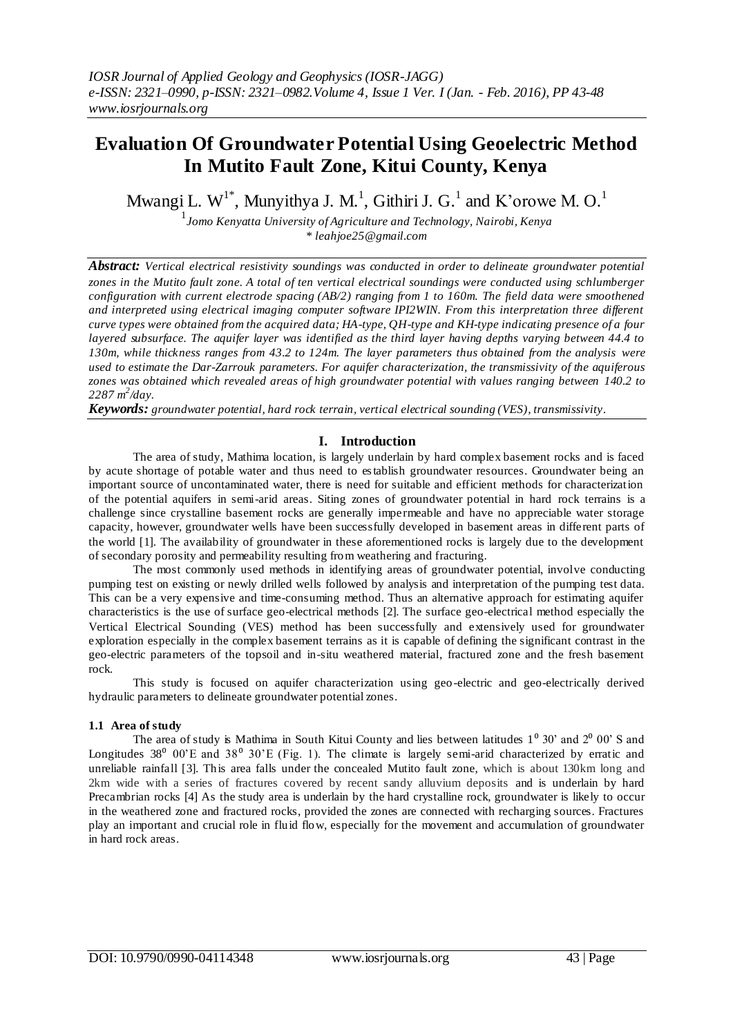# **Evaluation Of Groundwater Potential Using Geoelectric Method In Mutito Fault Zone, Kitui County, Kenya**

Mwangi L.  $W^{1*}$ , Munyithya J. M.<sup>1</sup>, Githiri J. G.<sup>1</sup> and K'orowe M. O.<sup>1</sup>

1 *Jomo Kenyatta University of Agriculture and Technology, Nairobi, Kenya \* leahjoe25@gmail.com*

*Abstract: Vertical electrical resistivity soundings was conducted in order to delineate groundwater potential zones in the Mutito fault zone. A total of ten vertical electrical soundings were conducted using schlumberger configuration with current electrode spacing (AB/2) ranging from 1 to 160m. The field data were smoothened and interpreted using electrical imaging computer software IPI2WIN. From this interpretation three different curve types were obtained from the acquired data; HA-type, QH-type and KH-type indicating presence of a four layered subsurface. The aquifer layer was identified as the third layer having depths varying between 44.4 to 130m, while thickness ranges from 43.2 to 124m. The layer parameters thus obtained from the analysis were used to estimate the Dar-Zarrouk parameters. For aquifer characterization, the transmissivity of the aquiferous zones was obtained which revealed areas of high groundwater potential with values ranging between 140.2 to 2287 m<sup>2</sup> /day.* 

*Keywords: groundwater potential, hard rock terrain, vertical electrical sounding (VES), transmissivity.*

## **I. Introduction**

The area of study, Mathima location, is largely underlain by hard complex basement rocks and is faced by acute shortage of potable water and thus need to establish groundwater resources. Groundwater being an important source of uncontaminated water, there is need for suitable and efficient methods for characterization of the potential aquifers in semi-arid areas. Siting zones of groundwater potential in hard rock terrains is a challenge since crystalline basement rocks are generally impermeable and have no appreciable water storage capacity, however, groundwater wells have been successfully developed in basement areas in different parts of the world [1]. The availability of groundwater in these aforementioned rocks is largely due to the development of secondary porosity and permeability resulting from weathering and fracturing.

The most commonly used methods in identifying areas of groundwater potential, involve conducting pumping test on existing or newly drilled wells followed by analysis and interpretation of the pumping test data. This can be a very expensive and time-consuming method. Thus an alternative approach for estimating aquifer characteristics is the use of surface geo-electrical methods [2]. The surface geo-electrical method especially the Vertical Electrical Sounding (VES) method has been successfully and extensively used for groundwater exploration especially in the complex basement terrains as it is capable of defining the significant contrast in the geo-electric parameters of the topsoil and in-situ weathered material, fractured zone and the fresh basement rock.

This study is focused on aquifer characterization using geo-electric and geo-electrically derived hydraulic parameters to delineate groundwater potential zones.

#### **1.1 Area of study**

The area of study is Mathima in South Kitui County and lies between latitudes  $1^0$  30' and  $2^0$  00' S and Longitudes  $38^{\circ}$  00'E and  $38^{\circ}$  30'E (Fig. 1). The climate is largely semi-arid characterized by erratic and unreliable rainfall [3]. This area falls under the concealed Mutito fault zone, which is about 130km long and 2km wide with a series of fractures covered by recent sandy alluvium deposits and is underlain by hard Precambrian rocks [4] As the study area is underlain by the hard crystalline rock, groundwater is likely to occur in the weathered zone and fractured rocks, provided the zones are connected with recharging sources. Fractures play an important and crucial role in fluid flow, especially for the movement and accumulation of groundwater in hard rock areas.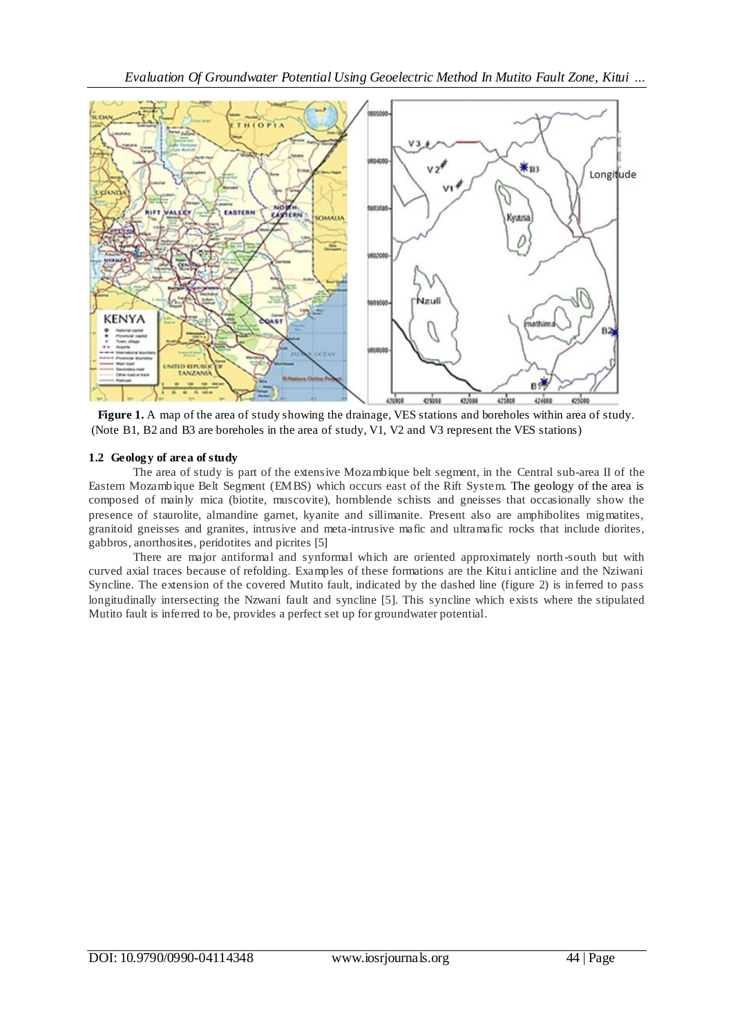

**Figure 1.** A map of the area of study showing the drainage, VES stations and boreholes within area of study. (Note B1, B2 and B3 are boreholes in the area of study, V1, V2 and V3 represent the VES stations)

## **1.2 Geology of area of study**

The area of study is part of the extensive Mozambique belt segment, in the Central sub-area II of the Eastern Mozambique Belt Segment (EMBS) which occurs east of the Rift System. The geology of the area is composed of mainly mica (biotite, muscovite), hornblende schists and gneisses that occasionally show the presence of staurolite, almandine garnet, kyanite and sillimanite. Present also are amphibolites migmatites, granitoid gneisses and granites, intrusive and meta-intrusive mafic and ultramafic rocks that include diorites, gabbros, anorthosites, peridotites and picrites [5]

There are major antiformal and synformal which are oriented approximately north -south but with curved axial traces because of refolding. Examples of these formations are the Kitui anticline and the Nziwani Syncline. The extension of the covered Mutito fault, indicated by the dashed line (figure 2) is inferred to pass longitudinally intersecting the Nzwani fault and syncline [5]. This syncline which exists where the stipulated Mutito fault is inferred to be, provides a perfect set up for groundwater potential.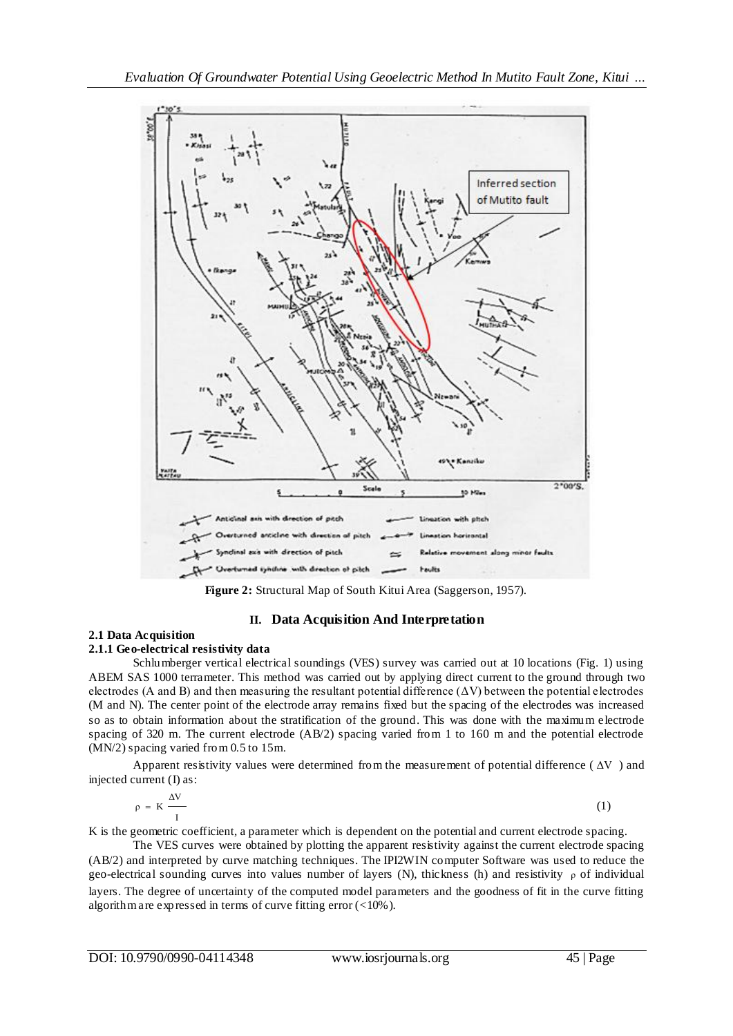

**Figure 2:** Structural Map of South Kitui Area (Saggerson, 1957).

# **II. Data Acquisition And Interpretation**

## **2.1 Data Acquisition**

## **2.1.1 Geo-electrical resistivity data**

Schlumberger vertical electrical soundings (VES) survey was carried out at 10 locations (Fig. 1) using ABEM SAS 1000 terrameter. This method was carried out by applying direct current to the ground through two electrodes (A and B) and then measuring the resultant potential difference  $(\Delta V)$  between the potential electrodes (M and N). The center point of the electrode array remains fixed but the spacing of the electrodes was increased so as to obtain information about the stratification of the ground. This was done with the maximum electrode spacing of 320 m. The current electrode (AB/2) spacing varied from 1 to 160 m and the potential electrode (MN/2) spacing varied from 0.5 to 15m.

Apparent resistivity values were determined from the measurement of potential difference  $(\Delta V)$  and injected current (I) as:

$$
\rho = K \frac{\Delta V}{I} \tag{1}
$$

K is the geometric coefficient, a parameter which is dependent on the potential and current electrode spacing.

The VES curves were obtained by plotting the apparent resistivity against the current electrode spacing (AB/2) and interpreted by curve matching techniques. The IPI2WIN computer Software was used to reduce the geo-electrical sounding curves into values number of layers (N), thickness (h) and resistivity  $\rho$  of individual layers. The degree of uncertainty of the computed model parameters and the goodness of fit in the curve fitting algorithm are expressed in terms of curve fitting error  $\left($  < 10%).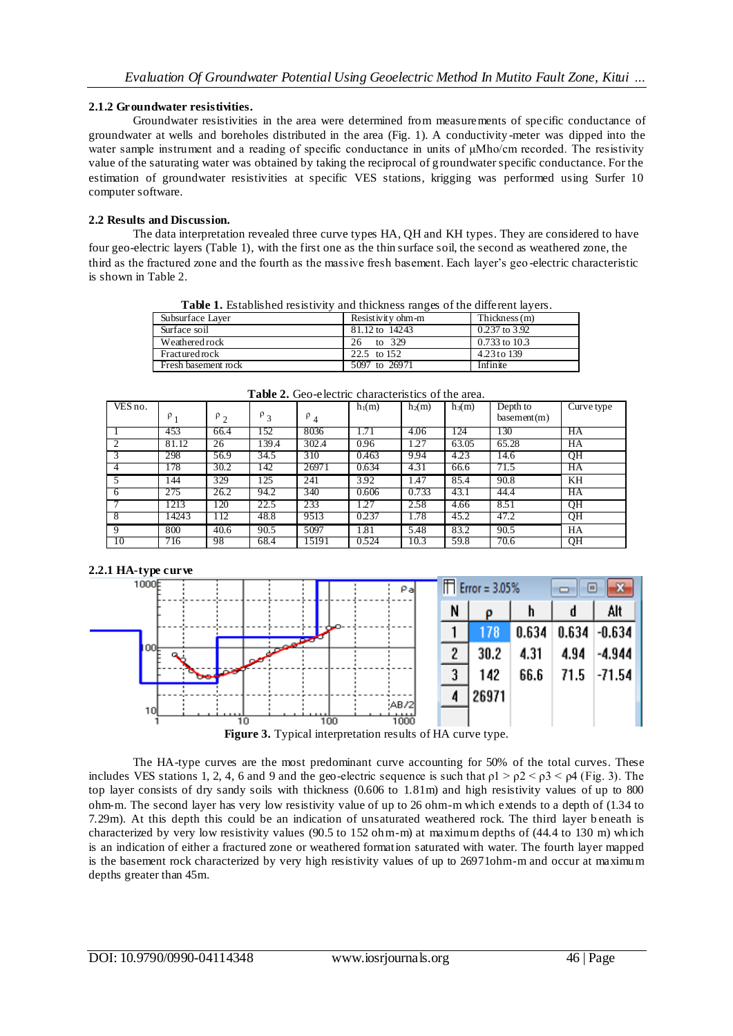#### **2.1.2 Groundwater resistivities.**

Groundwater resistivities in the area were determined from measurements of specific conductance of groundwater at wells and boreholes distributed in the area (Fig. 1). A conductivity -meter was dipped into the water sample instrument and a reading of specific conductance in units of μMho/cm recorded. The resistivity value of the saturating water was obtained by taking the reciprocal of groundwater specific conductance. For the estimation of groundwater resistivities at specific VES stations, krigging was performed using Surfer 10 computer software.

#### **2.2 Results and Discussion.**

The data interpretation revealed three curve types HA, QH and KH types. They are considered to have four geo-electric layers (Table 1), with the first one as the thin surface soil, the second as weathered zone, the third as the fractured zone and the fourth as the massive fresh basement. Each layer's geo -electric characteristic is shown in Table 2.

| <b>Table 1.</b> Established resistivity and thickness ranges of the different layers. |                   |                   |  |
|---------------------------------------------------------------------------------------|-------------------|-------------------|--|
| Subsurface Laver                                                                      | Resistivity ohm-m | Thickness $(m)$   |  |
| Surface soil                                                                          | 81.12 to 14243    | 0.237 to 3.92     |  |
| Weathered rock                                                                        | to 329<br>26      | $0.733$ to $10.3$ |  |
|                                                                                       |                   |                   |  |

Fractured rock 22.5 to 152 4.23 to 139<br>Fresh basement rock 5097 to 26971 Infinite Fresh basement rock **Table 2.** Geo-electric characteristics of the area.

| VES no.       | $P_1$ | $P_2$ | $P_3$ | $P_4$ | $h_1(m)$ | $h_2(m)$ | $h_3(m)$ | Depth to<br>basement(m) | Curve type |
|---------------|-------|-------|-------|-------|----------|----------|----------|-------------------------|------------|
|               | 453   | 66.4  | 152   | 8036  | 1.71     | 4.06     | 124      | 130                     | HA         |
| $\mathcal{D}$ | 81.12 | 26    | 139.4 | 302.4 | 0.96     | 1.27     | 63.05    | 65.28                   | HA         |
|               | 298   | 56.9  | 34.5  | 310   | 0.463    | 9.94     | 4.23     | 14.6                    | QH         |
| 4             | 178   | 30.2  | 142   | 26971 | 0.634    | 4.31     | 66.6     | 71.5                    | HA         |
| 5             | 144   | 329   | 125   | 241   | 3.92     | 1.47     | 85.4     | 90.8                    | KH         |
| 6             | 275   | 26.2  | 94.2  | 340   | 0.606    | 0.733    | 43.1     | 44.4                    | HA         |
|               | 1213  | 120   | 22.5  | 233   | .27      | 2.58     | 4.66     | 8.51                    | QH         |
| 8             | 14243 | 112   | 48.8  | 9513  | 0.237    | 1.78     | 45.2     | 47.2                    | QH         |
| $\mathbf Q$   | 800   | 40.6  | 90.5  | 5097  | 1.81     | 5.48     | 83.2     | 90.5                    | HA         |
| 10            | 716   | 98    | 68.4  | 15191 | 0.524    | 10.3     | 59.8     | 70.6                    | QH         |

#### **2.2.1 HA-type curve**



**Figure 3.** Typical interpretation results of HA curve type.

The HA-type curves are the most predominant curve accounting for 50% of the total curves. These includes VES stations 1, 2, 4, 6 and 9 and the geo-electric sequence is such that  $p1 > p2 < p3 < p4$  (Fig. 3). The top layer consists of dry sandy soils with thickness (0.606 to 1.81m) and high resistivity values of up to 800 ohm-m. The second layer has very low resistivity value of up to 26 ohm-m which extends to a depth of (1.34 to 7.29m). At this depth this could be an indication of unsaturated weathered rock. The third layer b eneath is characterized by very low resistivity values (90.5 to 152 ohm-m) at maximum depths of (44.4 to 130 m) which is an indication of either a fractured zone or weathered formation saturated with water. The fourth layer mapped is the basement rock characterized by very high resistivity values of up to 26971ohm-m and occur at maximum depths greater than 45m.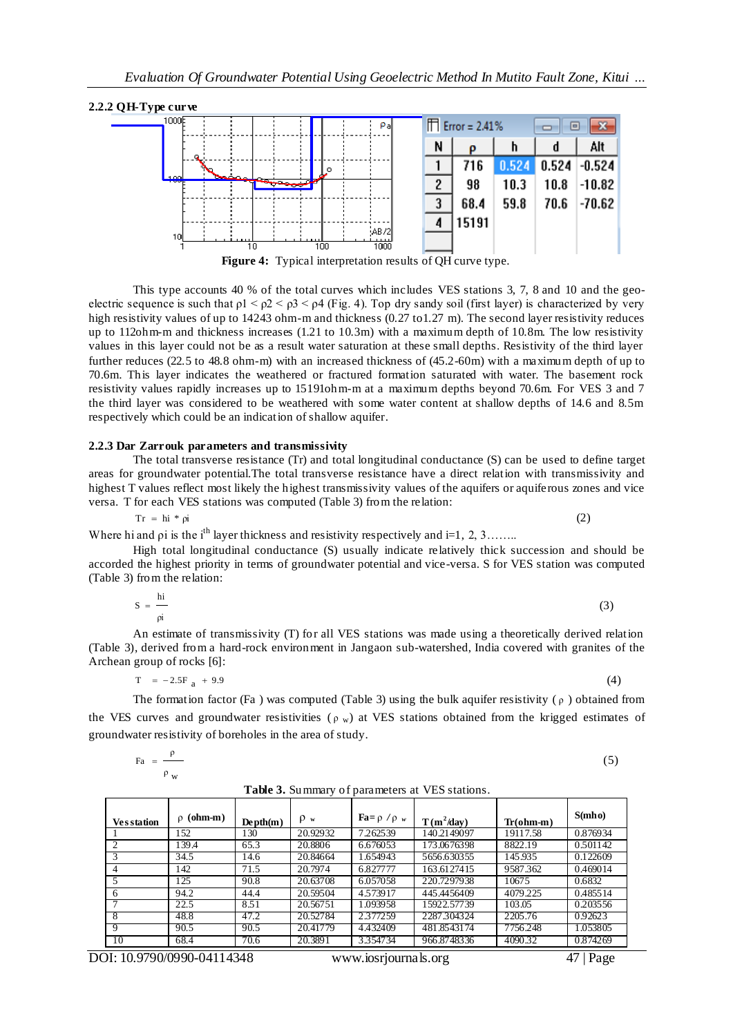

**Figure 4:** Typical interpretation results of QH curve type.

This type accounts 40 % of the total curves which includes VES stations 3, 7, 8 and 10 and the geoelectric sequence is such that  $p1 < p2 < p3 < p4$  (Fig. 4). Top dry sandy soil (first layer) is characterized by very high resistivity values of up to 14243 ohm-m and thickness (0.27 to 1.27 m). The second layer resistivity reduces up to 112ohm-m and thickness increases (1.21 to 10.3m) with a maximum depth of 10.8m. The low resistivity values in this layer could not be as a result water saturation at these small depths. Resistivity of the third layer further reduces (22.5 to 48.8 ohm-m) with an increased thickness of (45.2-60m) with a maximum depth of up to 70.6m. This layer indicates the weathered or fractured formation saturated with water. The basement rock resistivity values rapidly increases up to 15191ohm-m at a maximum depths beyond 70.6m. For VES 3 and 7 the third layer was considered to be weathered with some water content at shallow depths of 14.6 and 8.5m respectively which could be an indication of shallow aquifer.

#### **2.2.3 Dar Zarrouk parameters and transmissivity**

The total transverse resistance (Tr) and total longitudinal conductance (S) can be used to define target areas for groundwater potential.The total transverse resistance have a direct relation with transmissivity and highest T values reflect most likely the highest transmissivity values of the aquifers or aquiferous zones and vice versa. T for each VES stations was computed (Table 3) from the relation:

$$
Tr = h i * \rho i \tag{2}
$$

Where hi and  $\rho$  is the i<sup>th</sup> layer thickness and resistivity respectively and i=1, 2, 3……..

High total longitudinal conductance (S) usually indicate relatively thick succession and should be accorded the highest priority in terms of groundwater potential and vice-versa. S for VES station was computed (Table 3) from the relation:

$$
S = \frac{hi}{\rho i} \tag{3}
$$

An estimate of transmissivity (T) for all VES stations was made using a theoretically derived relation (Table 3), derived from a hard-rock environment in Jangaon sub-watershed, India covered with granites of the Archean group of rocks [6]:

$$
T = -2.5Fa + 9.9
$$
 (4)

The formation factor (Fa ) was computed (Table 3) using the bulk aquifer resistivity ( $\rho$ ) obtained from the VES curves and groundwater resistivities ( $\rho_w$ ) at VES stations obtained from the krigged estimates of groundwater resistivity of boreholes in the area of study.

| $Fa = \frac{\rho}{\sqrt{2\pi}}$ | (5) |
|---------------------------------|-----|
| $\rho$ <sub>W</sub>             |     |

| <b>Vesstation</b> | $ohm-m$<br>$\mathsf{D}$ | $Depth(m)$ | $\rho_w$ | $\mathbf{Fa} = \rho / \rho_w$ | $T(m^2/day)$ | $Tr(\text{ohm-m})$ | S(mho)   |
|-------------------|-------------------------|------------|----------|-------------------------------|--------------|--------------------|----------|
|                   | 152                     | 130        | 20.92932 | 7.262539                      | 140.2149097  | 19117.58           | 0.876934 |
| 2                 | 139.4                   | 65.3       | 20.8806  | 6.676053                      | 173.0676398  | 8822.19            | 0.501142 |
| 3                 | 34.5                    | 14.6       | 20.84664 | 1.654943                      | 5656.630355  | 145.935            | 0.122609 |
| 4                 | 142                     | 71.5       | 20.7974  | 6.827777                      | 163.6127415  | 9587.362           | 0.469014 |
|                   | 125                     | 90.8       | 20.63708 | 6.057058                      | 220.7297938  | 10675              | 0.6832   |
| 6                 | 94.2                    | 44.4       | 20.59504 | 4.573917                      | 445.4456409  | 4079.225           | 0.485514 |
|                   | 22.5                    | 8.51       | 20.56751 | 1.093958                      | 15922.57739  | 103.05             | 0.203556 |
| 8                 | 48.8                    | 47.2       | 20.52784 | 2.377259                      | 2287.304324  | 2205.76            | 0.92623  |
| 9                 | 90.5                    | 90.5       | 20.41779 | 4.432409                      | 481.8543174  | 7756.248           | 1.053805 |
| 10                | 68.4                    | 70.6       | 20.3891  | 3.354734                      | 966.8748336  | 4090.32            | 0.874269 |